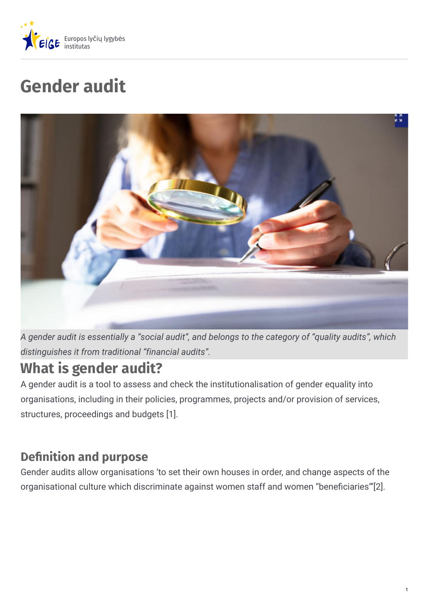

# **Gender audit**



*A gender audit is essentially a "social audit", and belongs to the category of "quality audits", which distinguishes it from traditional "financial audits".*

## **What is gender audit?**

A gender audit is a tool to assess and check the institutionalisation of gender equality into organisations, including in their policies, programmes, projects and/or provision of services, structures, proceedings and budgets [1].

### **Definition** and purpose

Gender audits allow organisations 'to set their own houses in order, and change aspects of the organisational culture which discriminate against women staff and women "beneficiaries"[2].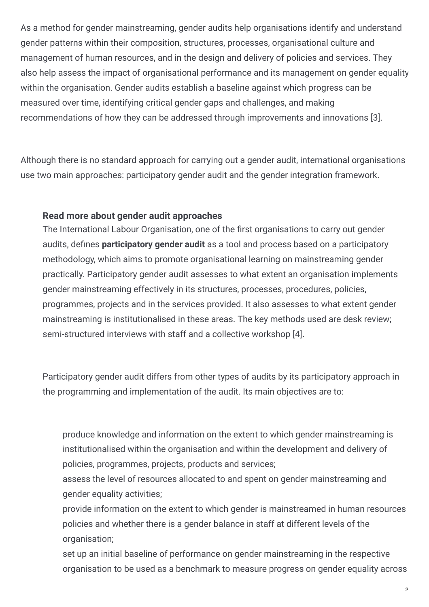As a method for gender mainstreaming, gender audits help organisations identify and understand gender patterns within their composition, structures, processes, organisational culture and management of human resources, and in the design and delivery of policies and services. They also help assess the impact of organisational performance and its management on gender equality within the organisation. Gender audits establish a baseline against which progress can be measured over time, identifying critical gender gaps and challenges, and making recommendations of how they can be addressed through improvements and innovations [3].

Although there is no standard approach for carrying out a gender audit, international organisations use two main approaches: participatory gender audit and the gender integration framework.

#### **Read more about gender audit approaches**

The International Labour Organisation, one of the first organisations to carry out gender audits, defines **participatory gender audit** as a tool and process based on a participatory methodology, which aims to promote organisational learning on mainstreaming gender practically. Participatory gender audit assesses to what extent an organisation implements gender mainstreaming effectively in its structures, processes, procedures, policies, programmes, projects and in the services provided. It also assesses to what extent gender mainstreaming is institutionalised in these areas. The key methods used are desk review; semi-structured interviews with staff and a collective workshop [4].

Participatory gender audit differs from other types of audits by its participatory approach in the programming and implementation of the audit. Its main objectives are to:

produce knowledge and information on the extent to which gender mainstreaming is institutionalised within the organisation and within the development and delivery of policies, programmes, projects, products and services;

assess the level of resources allocated to and spent on gender mainstreaming and gender equality activities;

provide information on the extent to which gender is mainstreamed in human resources policies and whether there is a gender balance in staff at different levels of the organisation;

set up an initial baseline of performance on gender mainstreaming in the respective organisation to be used as a benchmark to measure progress on gender equality across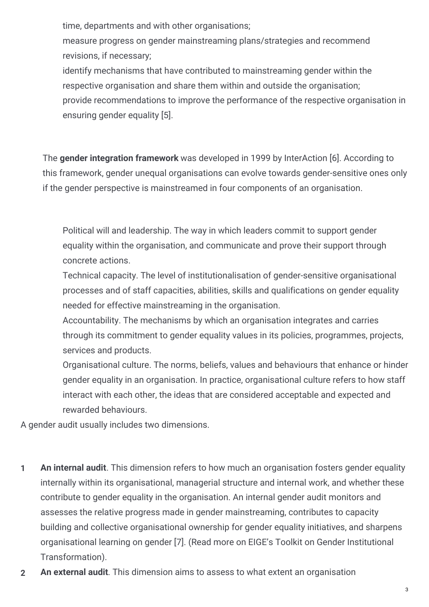time, departments and with other organisations;

measure progress on gender mainstreaming plans/strategies and recommend revisions, if necessary;

identify mechanisms that have contributed to mainstreaming gender within the respective organisation and share them within and outside the organisation;

provide recommendations to improve the performance of the respective organisation in ensuring gender equality [5].

The **gender integration framework** was developed in 1999 by InterAction [6]. According to this framework, gender unequal organisations can evolve towards gender-sensitive ones only if the gender perspective is mainstreamed in four components of an organisation.

Political will and leadership. The way in which leaders commit to support gender equality within the organisation, and communicate and prove their support through concrete actions.

Technical capacity. The level of institutionalisation of gender-sensitive organisational processes and of staff capacities, abilities, skills and qualifications on gender equality needed for effective mainstreaming in the organisation.

Accountability. The mechanisms by which an organisation integrates and carries through its commitment to gender equality values in its policies, programmes, projects, services and products.

Organisational culture. The norms, beliefs, values and behaviours that enhance or hinder gender equality in an organisation. In practice, organisational culture refers to how staff interact with each other, the ideas that are considered acceptable and expected and rewarded behaviours.

A gender audit usually includes two dimensions.

- **An internal audit**. This dimension refers to how much an organisation fosters gender equality internally within its organisational, managerial structure and internal work, and whether these contribute to gender equality in the organisation. An internal gender audit monitors and assesses the relative progress made in gender mainstreaming, contributes to capacity building and collective organisational ownership for gender equality initiatives, and sharpens organisational learning on gender [7]. (Read more on EIGE's Toolkit on Gender Institutional Transformation). **1**
- **2 An external audit**. This dimension aims to assess to what extent an organisation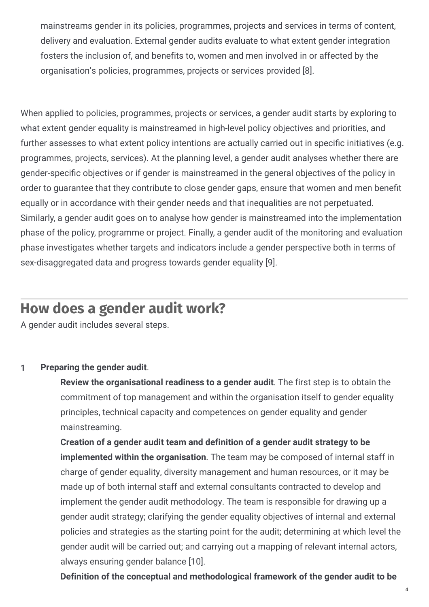mainstreams gender in its policies, programmes, projects and services in terms of content, delivery and evaluation. External gender audits evaluate to what extent gender integration fosters the inclusion of, and benefits to, women and men involved in or affected by the organisation's policies, programmes, projects or services provided [8].

When applied to policies, programmes, projects or services, a gender audit starts by exploring to what extent gender equality is mainstreamed in high-level policy objectives and priorities, and further assesses to what extent policy intentions are actually carried out in specific initiatives (e.g. programmes, projects, services). At the planning level, a gender audit analyses whether there are gender-specific objectives or if gender is mainstreamed in the general objectives of the policy in order to quarantee that they contribute to close gender gaps, ensure that women and men benefit equally or in accordance with their gender needs and that inequalities are not perpetuated. Similarly, a gender audit goes on to analyse how gender is mainstreamed into the implementation phase of the policy, programme or project. Finally, a gender audit of the monitoring and evaluation phase investigates whether targets and indicators include a gender perspective both in terms of sex-disaggregated data and progress towards gender equality [9].

## **How does a gender audit work?**

A gender audit includes several steps.

#### **1 Preparing the gender audit**.

**Review the organisational readiness to a gender audit**. The first step is to obtain the commitment of top management and within the organisation itself to gender equality principles, technical capacity and competences on gender equality and gender mainstreaming.

**Creation of a gender audit team and definition of a gender audit strategy to be implemented within the organisation**. The team may be composed of internal staff in charge of gender equality, diversity management and human resources, or it may be made up of both internal staff and external consultants contracted to develop and implement the gender audit methodology. The team is responsible for drawing up a gender audit strategy; clarifying the gender equality objectives of internal and external policies and strategies as the starting point for the audit; determining at which level the gender audit will be carried out; and carrying out a mapping of relevant internal actors, always ensuring gender balance [10].

**Definition of the conceptual and methodological framework of the gender audit to be**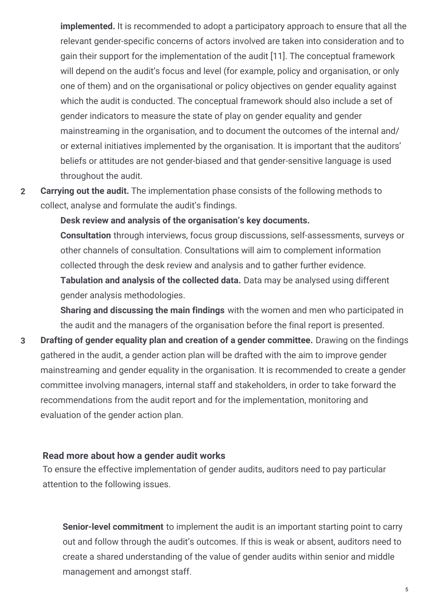**implemented.** It is recommended to adopt a participatory approach to ensure that all the relevant gender-specific concerns of actors involved are taken into consideration and to gain their support for the implementation of the audit [11]. The conceptual framework will depend on the audit's focus and level (for example, policy and organisation, or only one of them) and on the organisational or policy objectives on gender equality against which the audit is conducted. The conceptual framework should also include a set of gender indicators to measure the state of play on gender equality and gender mainstreaming in the organisation, and to document the outcomes of the internal and/ or external initiatives implemented by the organisation. It is important that the auditors' beliefs or attitudes are not gender-biased and that gender-sensitive language is used throughout the audit.

**Carrying out the audit.** The implementation phase consists of the following methods to collect, analyse and formulate the audit's findings. **2**

**Desk review and analysis of the organisation's key documents.**

**Consultation** through interviews, focus group discussions, self-assessments, surveys or other channels of consultation. Consultations will aim to complement information collected through the desk review and analysis and to gather further evidence. **Tabulation and analysis of the collected data.** Data may be analysed using different

gender analysis methodologies.

**Sharing and discussing the main findings** with the women and men who participated in the audit and the managers of the organisation before the final report is presented.

**Drafting of gender equality plan and creation of a gender committee.** Drawing on the findings gathered in the audit, a gender action plan will be drafted with the aim to improve gender mainstreaming and gender equality in the organisation. It is recommended to create a gender committee involving managers, internal staff and stakeholders, in order to take forward the recommendations from the audit report and for the implementation, monitoring and evaluation of the gender action plan. **3**

#### **Read more about how a gender audit works**

To ensure the effective implementation of gender audits, auditors need to pay particular attention to the following issues.

**Senior-level commitment** to implement the audit is an important starting point to carry out and follow through the audit's outcomes. If this is weak or absent, auditors need to create a shared understanding of the value of gender audits within senior and middle management and amongst staff.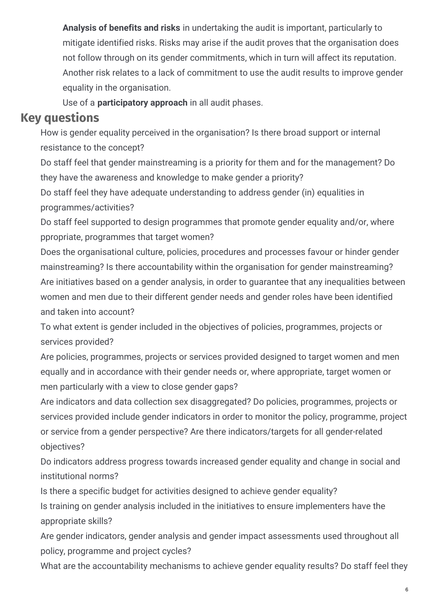**Analysis of benefits and risks** in undertaking the audit is important, particularly to mitigate identified risks. Risks may arise if the audit proves that the organisation does not follow through on its gender commitments, which in turn will affect its reputation. Another risk relates to a lack of commitment to use the audit results to improve gender equality in the organisation.

Use of a **participatory approach** in all audit phases.

### **Key questions**

How is gender equality perceived in the organisation? Is there broad support or internal resistance to the concept?

Do staff feel that gender mainstreaming is a priority for them and for the management? Do they have the awareness and knowledge to make gender a priority?

Do staff feel they have adequate understanding to address gender (in) equalities in programmes/activities?

Do staff feel supported to design programmes that promote gender equality and/or, where ppropriate, programmes that target women?

Does the organisational culture, policies, procedures and processes favour or hinder gender mainstreaming? Is there accountability within the organisation for gender mainstreaming? Are initiatives based on a gender analysis, in order to guarantee that any inequalities between women and men due to their different gender needs and gender roles have been identified and taken into account?

To what extent is gender included in the objectives of policies, programmes, projects or services provided?

Are policies, programmes, projects or services provided designed to target women and men equally and in accordance with their gender needs or, where appropriate, target women or men particularly with a view to close gender gaps?

Are indicators and data collection sex disaggregated? Do policies, programmes, projects or services provided include gender indicators in order to monitor the policy, programme, project or service from a gender perspective? Are there indicators/targets for all gender-related objectives?

Do indicators address progress towards increased gender equality and change in social and institutional norms?

Is there a specific budget for activities designed to achieve gender equality?

Is training on gender analysis included in the initiatives to ensure implementers have the appropriate skills?

Are gender indicators, gender analysis and gender impact assessments used throughout all policy, programme and project cycles?

What are the accountability mechanisms to achieve gender equality results? Do staff feel they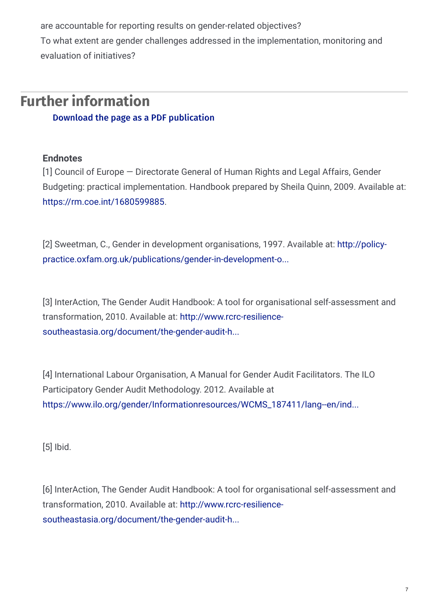are accountable for reporting results on gender-related objectives? To what extent are gender challenges addressed in the implementation, monitoring and evaluation of initiatives?

## **Further information**

Download the page as a PDF [publication](https://eige.europa.eu/sites/default/files/documents/mh0218737enn_002_0.pdf)

#### **Endnotes**

[1] Council of Europe — Directorate General of Human Rights and Legal Affairs, Gender Budgeting: practical implementation. Handbook prepared by Sheila Quinn, 2009. Available at: <https://rm.coe.int/1680599885>.

[2] Sweetman, C., Gender in development organisations, 1997. Available at: http://policy[practice.oxfam.org.uk/publications/gender-in-development-o...](http://policy-practice.oxfam.org.uk/publications/gender-in-development-organisations-121450)

[3] InterAction, The Gender Audit Handbook: A tool for organisational self-assessment and transformation, 2010. Available at: http://www.rcrc-resilience[southeastasia.org/document/the-gender-audit-h...](http://www.rcrc-resilience-southeastasia.org/document/the-gender-audit-handbook-a-tool-for-organisational-self-assessment-and-transformation-2010/)

[4] International Labour Organisation, A Manual for Gender Audit Facilitators. The ILO Participatory Gender Audit Methodology. 2012. Available at [https://www.ilo.org/gender/Informationresources/WCMS\\_187411/lang--en/ind...](https://www.ilo.org/gender/Informationresources/WCMS_187411/lang--en/index.htm)

[5] Ibid.

[6] InterAction, The Gender Audit Handbook: A tool for organisational self-assessment and transformation, 2010. Available at: http://www.rcrc-resilience[southeastasia.org/document/the-gender-audit-h...](http://www.rcrc-resilience-southeastasia.org/document/the-gender-audit-handbook-a-tool-for-organisational-self-assessment-and-transformation-2010/)